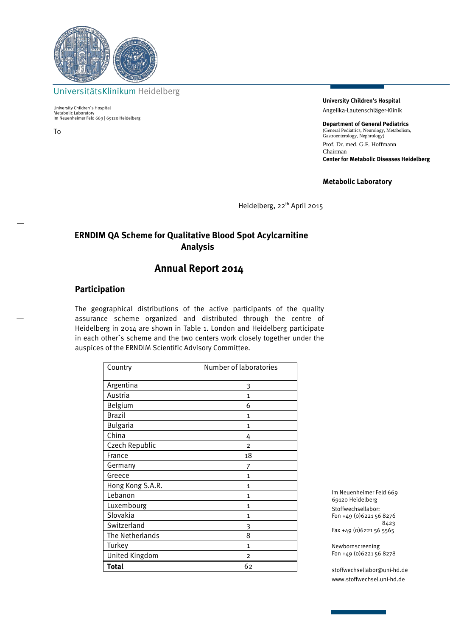

UniversitätsKlinikum Heidelberg

University Children´s Hospital Metabolic Laboratory Im Neuenheimer Feld 669 | 69120 Heidelberg

To

**University Children's Hospital** Angelika-Lautenschläger-Klinik

**Department of General Pediatrics** (General Pediatrics, Neurology, Metabolism, Gastroenterology, Nephrology) Prof. Dr. med. G.F. Hoffmann Chairman **Center for Metabolic Diseases Heidelberg**

**Metabolic Laboratory**

Heidelberg, 22<sup>th</sup> April 2015

## **ERNDIM QA Scheme for Qualitative Blood Spot Acylcarnitine Analysis**

# **Annual Report 2014**

#### **Participation**

The geographical distributions of the active participants of the quality assurance scheme organized and distributed through the centre of Heidelberg in 2014 are shown in Table 1. London and Heidelberg participate in each other´s scheme and the two centers work closely together under the auspices of the ERNDIM Scientific Advisory Committee.

| Country          | Number of laboratories |
|------------------|------------------------|
| Argentina        | 3                      |
| Austria          | $\mathbf{1}$           |
| Belgium          | 6                      |
| <b>Brazil</b>    | 1                      |
| <b>Bulgaria</b>  | 1                      |
| China            | 4                      |
| Czech Republic   | $\overline{2}$         |
| France           | 18                     |
| Germany          | 7                      |
| Greece           | 1                      |
| Hong Kong S.A.R. | 1                      |
| Lebanon          | 1                      |
| Luxembourg       | $\mathbf{1}$           |
| Slovakia         | $\mathbf{1}$           |
| Switzerland      | 3                      |
| The Netherlands  | 8                      |
| Turkey           | $\mathbf{1}$           |
| United Kingdom   | 2                      |
| <b>Total</b>     | 62                     |

Im Neuenheimer Feld 669 69120 Heidelberg Stoffwechsellabor: Fon +49 (0)6221 56 8276 8423 Fax +49 (0)6221 56 5565

Newbornscreening Fon +49 (0)6221 56 8278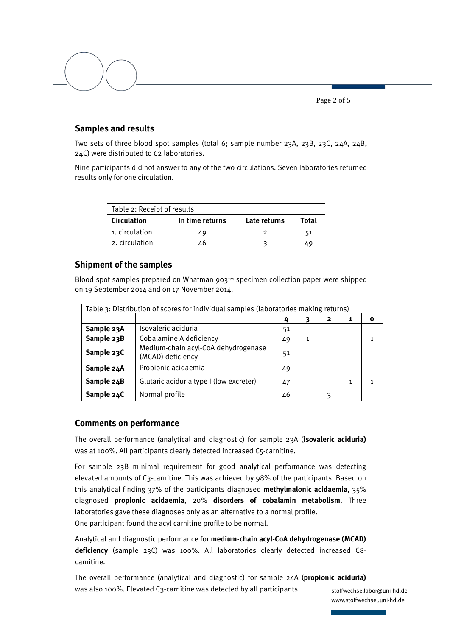Page 2 of 5

### **Samples and results**

Two sets of three blood spot samples (total 6; sample number 23A, 23B, 23C, 24A, 24B, 24C) were distributed to 62 laboratories.

Nine participants did not answer to any of the two circulations. Seven laboratories returned results only for one circulation.

| Table 2: Receipt of results |                 |              |       |  |  |  |
|-----------------------------|-----------------|--------------|-------|--|--|--|
| <b>Circulation</b>          | In time returns | Late returns | Total |  |  |  |
| 1. circulation              | 49              |              | 51    |  |  |  |
| 2. circulation              | 46              | ิว           | 49    |  |  |  |

### **Shipment of the samples**

Blood spot samples prepared on Whatman 903™ specimen collection paper were shipped on 19 September 2014 and on 17 November 2014.

| Table 3: Distribution of scores for individual samples (laboratories making returns) |                                                          |    |              |   |              |             |
|--------------------------------------------------------------------------------------|----------------------------------------------------------|----|--------------|---|--------------|-------------|
|                                                                                      |                                                          | 4  |              | 2 | 1            | $\mathbf o$ |
| Sample 23A                                                                           | Isovaleric aciduria                                      | 51 |              |   |              |             |
| Sample 23B                                                                           | Cobalamine A deficiency                                  | 49 | $\mathbf{1}$ |   |              |             |
| Sample 23C                                                                           | Medium-chain acyl-CoA dehydrogenase<br>(MCAD) deficiency | 51 |              |   |              |             |
| Sample 24A                                                                           | Propionic acidaemia                                      | 49 |              |   |              |             |
| Sample 24B                                                                           | Glutaric aciduria type I (low excreter)                  | 47 |              |   | $\mathbf{1}$ |             |
| Sample 24C                                                                           | Normal profile                                           | 46 |              | 3 |              |             |

#### **Comments on performance**

The overall performance (analytical and diagnostic) for sample 23A (**isovaleric aciduria)** was at 100%. All participants clearly detected increased C5-carnitine.

For sample 23B minimal requirement for good analytical performance was detecting elevated amounts of C3-carnitine. This was achieved by 98% of the participants. Based on this analytical finding 37% of the participants diagnosed **methylmalonic acidaemia**, 35% diagnosed **propionic acidaemia**, 20% **disorders of cobalamin metabolism**. Three laboratories gave these diagnoses only as an alternative to a normal profile. One participant found the acyl carnitine profile to be normal.

Analytical and diagnostic performance for **medium-chain acyl-CoA dehydrogenase (MCAD) deficiency** (sample 23C) was 100%. All laboratories clearly detected increased C8 carnitine.

The overall performance (analytical and diagnostic) for sample 24A (**propionic aciduria)** was also 100%. Elevated C3-carnitine was detected by all participants.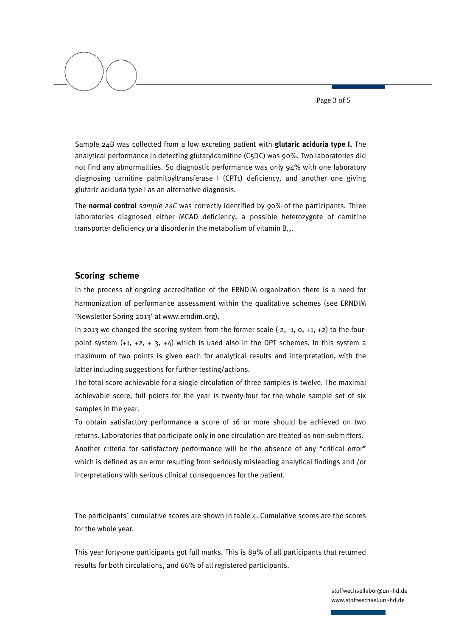Page 3 of 5

Sample 24B was collected from a low excreting patient with **glutaric aciduria type I.** The analytical performance in detecting glutarylcarnitine (C5DC) was 90%. Two laboratories did not find any abnormalities. So diagnostic performance was only 94% with one laboratory diagnosing carnitine palmitoyltransferase I (CPT1) deficiency, and another one giving glutaric aciduria type I as an alternative diagnosis.

The **normal control** *sample 24C* was correctly identified by 90% of the participants. Three laboratories diagnosed either MCAD deficiency, a possible heterozygote of carnitine transporter deficiency or a disorder in the metabolism of vitamin  $B_{12}$ .

#### **Scoring scheme**

In the process of ongoing accreditation of the ERNDIM organization there is a need for harmonization of performance assessment within the qualitative schemes (see ERNDIM 'Newsletter Spring 2013' at www.erndim.org).

In 2013 we changed the scoring system from the former scale  $(-2, -1, 0, +1, +2)$  to the fourpoint system  $(+1, +2, +3, +4)$  which is used also in the DPT schemes. In this system a maximum of two points is given each for analytical results and interpretation, with the latter including suggestions for further testing/actions.

The total score achievable for a single circulation of three samples is twelve. The maximal achievable score, full points for the year is twenty-four for the whole sample set of six samples in the year.

To obtain satisfactory performance a score of 16 or more should be achieved on two returns. Laboratories that participate only in one circulation are treated as non-submitters. Another criteria for satisfactory performance will be the absence of any "critical error" which is defined as an error resulting from seriously misleading analytical findings and /or interpretations with serious clinical consequences for the patient.

The participants´ cumulative scores are shown in table 4. Cumulative scores are the scores for the whole year.

This year forty-one participants got full marks. This is 89% of all participants that returned results for both circulations, and 66% of all registered participants.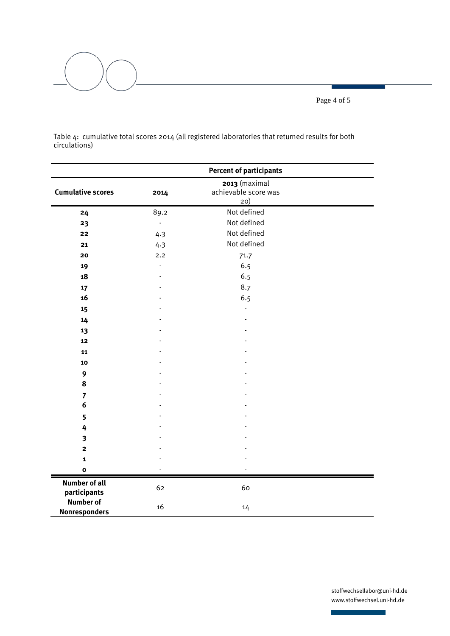Page 4 of 5



Table 4: cumulative total scores 2014 (all registered laboratories that returned results for both circulations)

|                                          | <b>Percent of participants</b> |                                              |  |
|------------------------------------------|--------------------------------|----------------------------------------------|--|
| <b>Cumulative scores</b>                 | 2014                           | 2013 (maximal<br>achievable score was<br>20) |  |
| 24                                       | 89.2                           | Not defined                                  |  |
| 23                                       | $\overline{a}$                 | Not defined                                  |  |
| 22                                       | 4.3                            | Not defined                                  |  |
| 21                                       | 4.3                            | Not defined                                  |  |
| 20                                       | 2.2                            | 71.7                                         |  |
| 19                                       | $\overline{a}$                 | 6.5                                          |  |
| 18                                       |                                | 6.5                                          |  |
| 17                                       |                                | 8.7                                          |  |
| 16                                       |                                | 6.5                                          |  |
| 15                                       |                                |                                              |  |
| 14                                       |                                |                                              |  |
| 13                                       |                                |                                              |  |
| 12                                       |                                |                                              |  |
| 11                                       |                                |                                              |  |
| 10                                       |                                |                                              |  |
| $\mathbf{9}$                             |                                |                                              |  |
| 8                                        |                                |                                              |  |
| $\overline{7}$                           |                                |                                              |  |
| $\boldsymbol{6}$                         |                                |                                              |  |
| 5                                        |                                |                                              |  |
| 4                                        |                                |                                              |  |
| $\overline{\mathbf{3}}$                  |                                |                                              |  |
| $\mathbf{2}$                             |                                |                                              |  |
| $\mathbf{1}$                             |                                |                                              |  |
| $\mathbf{o}$                             |                                |                                              |  |
| <b>Number of all</b><br>participants     | 62                             | 60                                           |  |
| <b>Number of</b><br><b>Nonresponders</b> | 16                             | 14                                           |  |